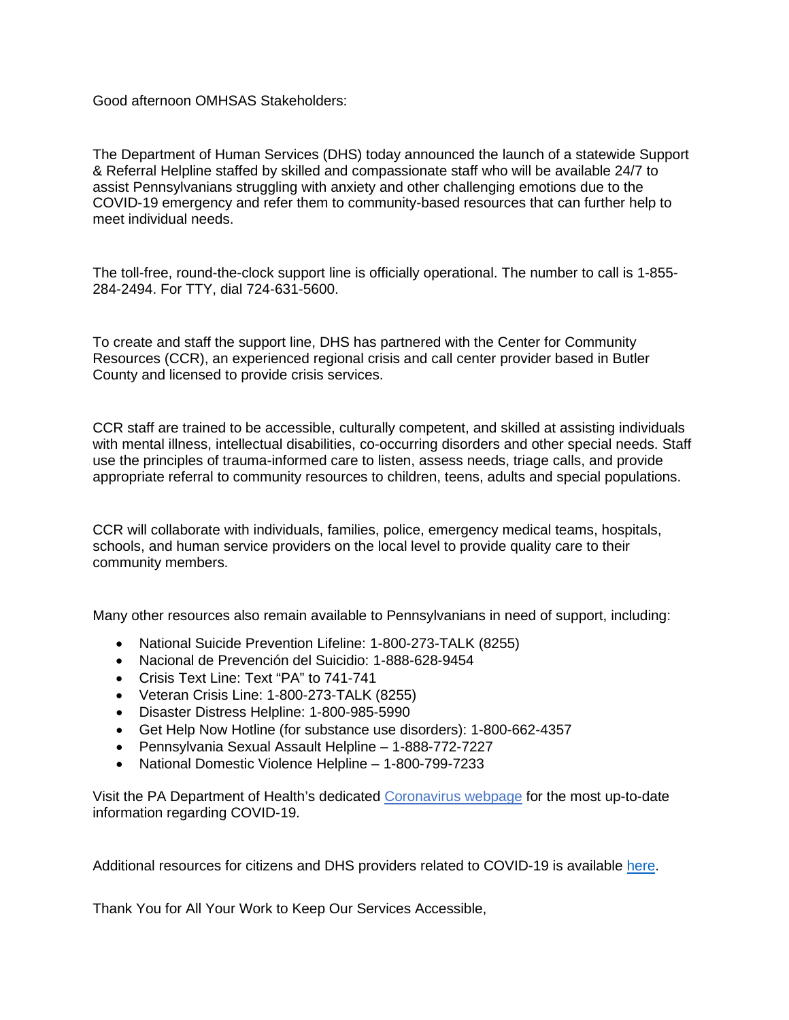Good afternoon OMHSAS Stakeholders:

The Department of Human Services (DHS) today announced the launch of a statewide Support & Referral Helpline staffed by skilled and compassionate staff who will be available 24/7 to assist Pennsylvanians struggling with anxiety and other challenging emotions due to the COVID-19 emergency and refer them to community-based resources that can further help to meet individual needs.

The toll-free, round-the-clock support line is officially operational. The number to call is 1-855- 284-2494. For TTY, dial 724-631-5600.

To create and staff the support line, DHS has partnered with the Center for Community Resources (CCR), an experienced regional crisis and call center provider based in Butler County and licensed to provide crisis services.

CCR staff are trained to be accessible, culturally competent, and skilled at assisting individuals with mental illness, intellectual disabilities, co-occurring disorders and other special needs. Staff use the principles of trauma-informed care to listen, assess needs, triage calls, and provide appropriate referral to community resources to children, teens, adults and special populations.

CCR will collaborate with individuals, families, police, emergency medical teams, hospitals, schools, and human service providers on the local level to provide quality care to their community members.

Many other resources also remain available to Pennsylvanians in need of support, including:

- National Suicide Prevention Lifeline: 1-800-273-TALK (8255)
- Nacional de Prevención del Suicidio: 1-888-628-9454
- Crisis Text Line: Text "PA" to 741-741
- Veteran Crisis Line: 1-800-273-TALK (8255)
- Disaster Distress Helpline: 1-800-985-5990
- Get Help Now Hotline (for substance use disorders): 1-800-662-4357
- Pennsylvania Sexual Assault Helpline 1-888-772-7227
- National Domestic Violence Helpline 1-800-799-7233

Visit the PA Department of Health's dedicated [Coronavirus webpage](https://www.health.pa.gov/topics/disease/coronavirus/Pages/Coronavirus.aspx) for the most up-to-date information regarding COVID-19.

Additional resources for citizens and DHS providers related to COVID-19 is available [here.](https://www.dhs.pa.gov/providers/Providers/Pages/Coronavirus-2020.aspx)

Thank You for All Your Work to Keep Our Services Accessible,